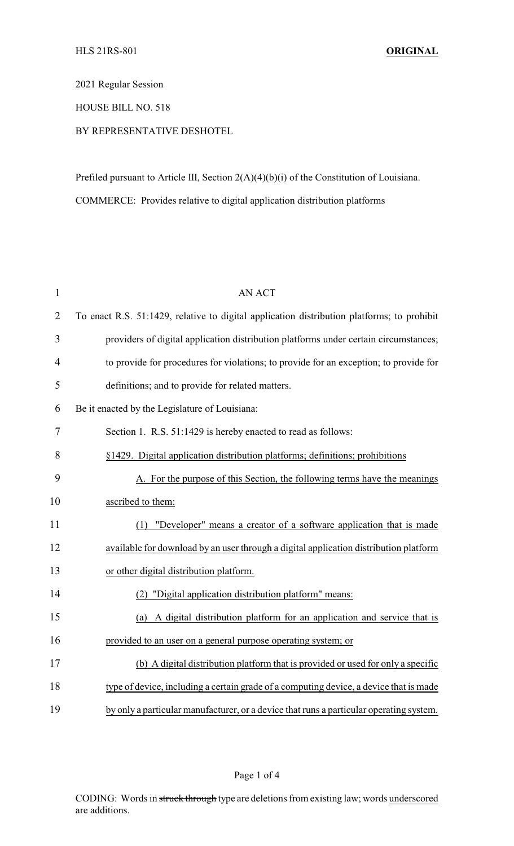2021 Regular Session

HOUSE BILL NO. 518

## BY REPRESENTATIVE DESHOTEL

Prefiled pursuant to Article III, Section 2(A)(4)(b)(i) of the Constitution of Louisiana. COMMERCE: Provides relative to digital application distribution platforms

| $\mathbf{1}$   | <b>AN ACT</b>                                                                              |
|----------------|--------------------------------------------------------------------------------------------|
| $\overline{2}$ | To enact R.S. 51:1429, relative to digital application distribution platforms; to prohibit |
| 3              | providers of digital application distribution platforms under certain circumstances;       |
| $\overline{4}$ | to provide for procedures for violations; to provide for an exception; to provide for      |
| 5              | definitions; and to provide for related matters.                                           |
| 6              | Be it enacted by the Legislature of Louisiana:                                             |
| 7              | Section 1. R.S. 51:1429 is hereby enacted to read as follows:                              |
| 8              | §1429. Digital application distribution platforms; definitions; prohibitions               |
| 9              | A. For the purpose of this Section, the following terms have the meanings                  |
| 10             | ascribed to them:                                                                          |
| 11             | (1) "Developer" means a creator of a software application that is made                     |
| 12             | available for download by an user through a digital application distribution platform      |
| 13             | or other digital distribution platform.                                                    |
| 14             | "Digital application distribution platform" means:<br>(2)                                  |
| 15             | (a) A digital distribution platform for an application and service that is                 |
| 16             | provided to an user on a general purpose operating system; or                              |
| 17             | (b) A digital distribution platform that is provided or used for only a specific           |
| 18             | type of device, including a certain grade of a computing device, a device that is made     |
| 19             | by only a particular manufacturer, or a device that runs a particular operating system.    |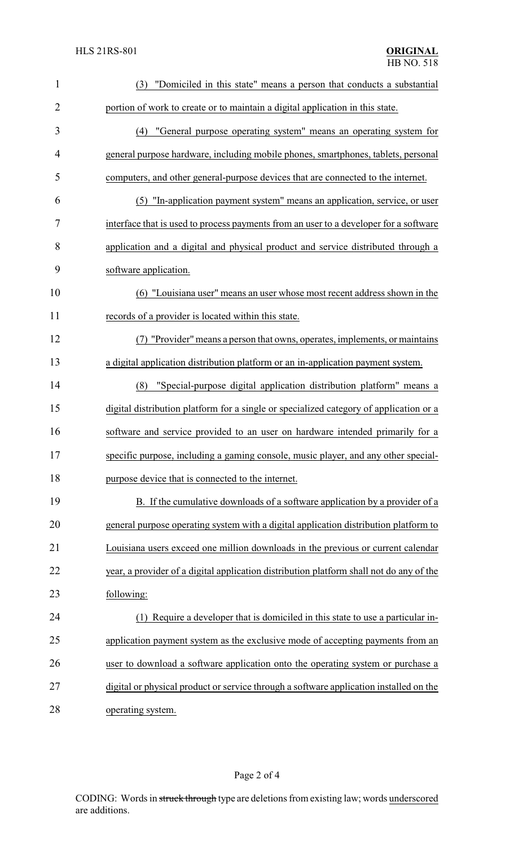| $\mathbf{1}$   | (3) "Domiciled in this state" means a person that conducts a substantial                |
|----------------|-----------------------------------------------------------------------------------------|
| $\overline{2}$ | portion of work to create or to maintain a digital application in this state.           |
| 3              | (4) "General purpose operating system" means an operating system for                    |
| $\overline{4}$ | general purpose hardware, including mobile phones, smartphones, tablets, personal       |
| 5              | computers, and other general-purpose devices that are connected to the internet.        |
| 6              | (5) "In-application payment system" means an application, service, or user              |
| 7              | interface that is used to process payments from an user to a developer for a software   |
| 8              | application and a digital and physical product and service distributed through a        |
| 9              | software application.                                                                   |
| 10             | (6) "Louisiana user" means an user whose most recent address shown in the               |
| 11             | records of a provider is located within this state.                                     |
| 12             | "Provider" means a person that owns, operates, implements, or maintains                 |
| 13             | a digital application distribution platform or an in-application payment system.        |
| 14             | "Special-purpose digital application distribution platform" means a<br>(8)              |
| 15             | digital distribution platform for a single or specialized category of application or a  |
| 16             | software and service provided to an user on hardware intended primarily for a           |
| 17             | specific purpose, including a gaming console, music player, and any other special-      |
| 18             | purpose device that is connected to the internet.                                       |
| 19             | B. If the cumulative downloads of a software application by a provider of a             |
| 20             | general purpose operating system with a digital application distribution platform to    |
| 21             | Louisiana users exceed one million downloads in the previous or current calendar        |
| 22             | year, a provider of a digital application distribution platform shall not do any of the |
| 23             | following:                                                                              |
| 24             | Require a developer that is domiciled in this state to use a particular in-             |
| 25             | application payment system as the exclusive mode of accepting payments from an          |
| 26             | user to download a software application onto the operating system or purchase a         |
| 27             | digital or physical product or service through a software application installed on the  |
| 28             | operating system.                                                                       |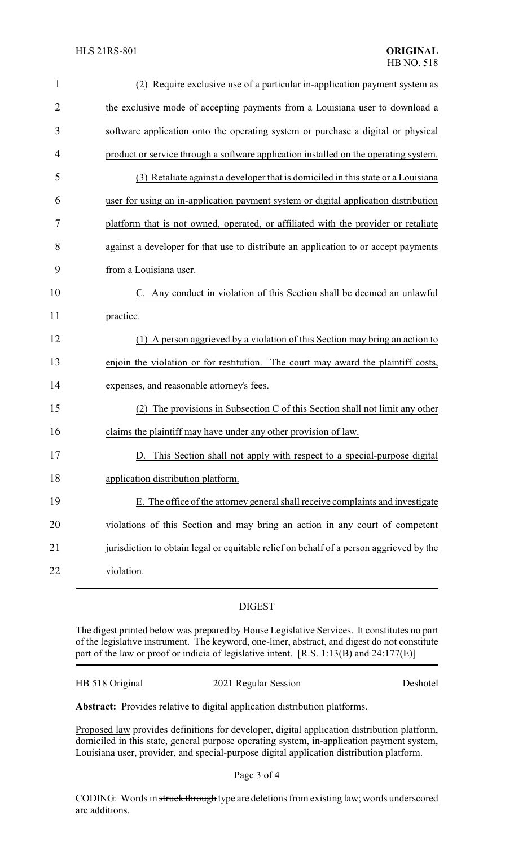| $\mathbf 1$    | (2) Require exclusive use of a particular in-application payment system as              |
|----------------|-----------------------------------------------------------------------------------------|
| $\overline{2}$ | the exclusive mode of accepting payments from a Louisiana user to download a            |
| 3              | software application onto the operating system or purchase a digital or physical        |
| 4              | product or service through a software application installed on the operating system.    |
| 5              | (3) Retaliate against a developer that is domiciled in this state or a Louisiana        |
| 6              | user for using an in-application payment system or digital application distribution     |
| 7              | platform that is not owned, operated, or affiliated with the provider or retaliate      |
| 8              | against a developer for that use to distribute an application to or accept payments     |
| 9              | from a Louisiana user.                                                                  |
| 10             | C. Any conduct in violation of this Section shall be deemed an unlawful                 |
| 11             | practice.                                                                               |
| 12             | (1) A person aggrieved by a violation of this Section may bring an action to            |
| 13             | enjoin the violation or for restitution. The court may award the plaintiff costs,       |
| 14             | expenses, and reasonable attorney's fees.                                               |
| 15             | The provisions in Subsection C of this Section shall not limit any other                |
| 16             | claims the plaintiff may have under any other provision of law.                         |
| 17             | This Section shall not apply with respect to a special-purpose digital                  |
| 18             | application distribution platform.                                                      |
| 19             | E. The office of the attorney general shall receive complaints and investigate          |
| 20             | violations of this Section and may bring an action in any court of competent            |
| 21             | jurisdiction to obtain legal or equitable relief on behalf of a person aggrieved by the |
| 22             | violation.                                                                              |

## DIGEST

The digest printed below was prepared by House Legislative Services. It constitutes no part of the legislative instrument. The keyword, one-liner, abstract, and digest do not constitute part of the law or proof or indicia of legislative intent. [R.S. 1:13(B) and 24:177(E)]

| HB 518 Original | 2021 Regular Session | Deshotel |
|-----------------|----------------------|----------|
|-----------------|----------------------|----------|

**Abstract:** Provides relative to digital application distribution platforms.

Proposed law provides definitions for developer, digital application distribution platform, domiciled in this state, general purpose operating system, in-application payment system, Louisiana user, provider, and special-purpose digital application distribution platform.

Page 3 of 4

CODING: Words in struck through type are deletions from existing law; words underscored are additions.